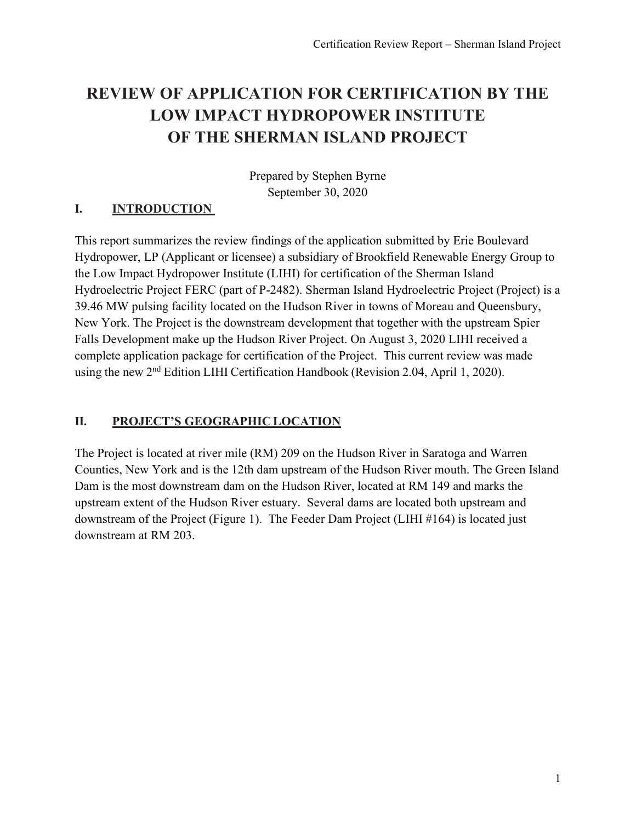# **REVIEW OF APPLICATION FOR CERTIFICATION BY THE LOW IMPACT HYDROPOWER INSTITUTE OF THE SHERMAN ISLAND PROJECT**

Prepared by Stephen Byrne September 30, 2020

# **I. INTRODUCTION**

This report summarizes the review findings of the application submitted by Erie Boulevard Hydropower, LP (Applicant or licensee) a subsidiary of Brookfield Renewable Energy Group to the Low Impact Hydropower Institute (LIHI) for certification of the Sherman Island Hydroelectric Project FERC (part of P-2482). Sherman Island Hydroelectric Project (Project) is a 39.46 MW pulsing facility located on the Hudson River in towns of Moreau and Queensbury, New York. The Project is the downstream development that together with the upstream Spier Falls Development make up the Hudson River Project. On August 3, 2020 LIHI received a complete application package for certification of the Project. This current review was made using the new 2<sup>nd</sup> Edition LIHI Certification Handbook (Revision 2.04, April 1, 2020).

## **II. PROJECT'S GEOGRAPHIC LOCATION**

The Project is located at river mile (RM) 209 on the Hudson River in Saratoga and Warren Counties, New York and is the 12th dam upstream of the Hudson River mouth. The Green Island Dam is the most downstream dam on the Hudson River, located at RM 149 and marks the upstream extent of the Hudson River estuary. Several dams are located both upstream and downstream of the Project (Figure 1). The Feeder Dam Project (LIHI #164) is located just downstream at RM 203.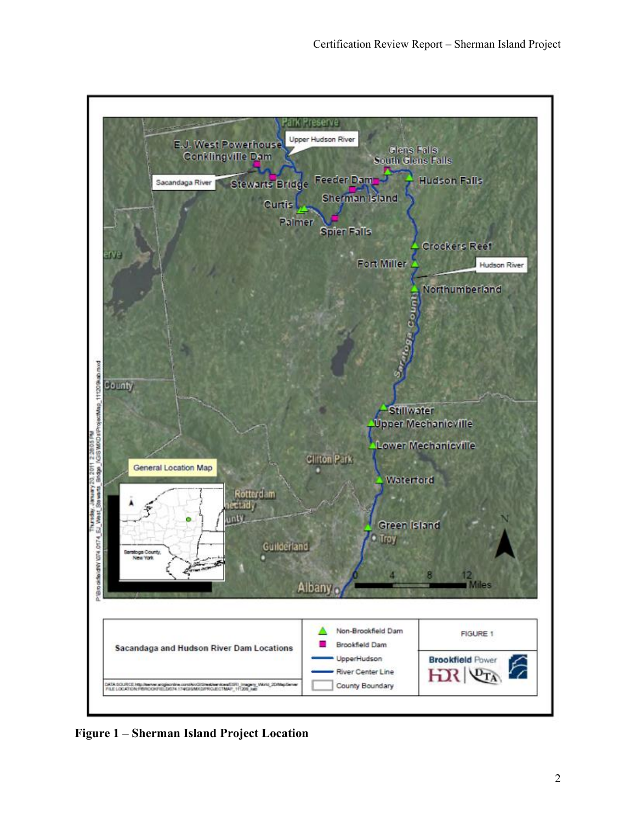

**Figure 1 – Sherman Island Project Location**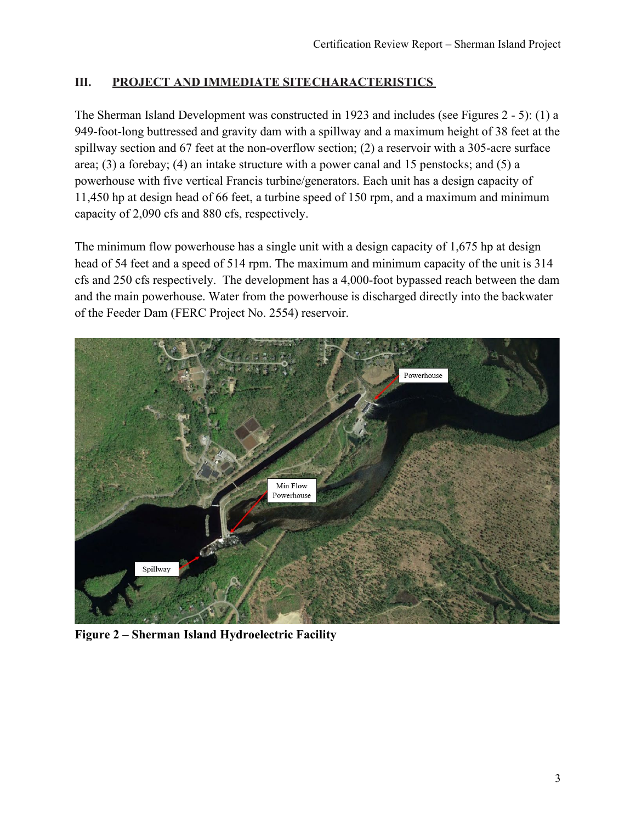## **III. PROJECT AND IMMEDIATE SITECHARACTERISTICS**

The Sherman Island Development was constructed in 1923 and includes (see Figures 2 - 5): (1) a 949-foot-long buttressed and gravity dam with a spillway and a maximum height of 38 feet at the spillway section and 67 feet at the non-overflow section; (2) a reservoir with a 305-acre surface area; (3) a forebay; (4) an intake structure with a power canal and 15 penstocks; and (5) a powerhouse with five vertical Francis turbine/generators. Each unit has a design capacity of 11,450 hp at design head of 66 feet, a turbine speed of 150 rpm, and a maximum and minimum capacity of 2,090 cfs and 880 cfs, respectively.

The minimum flow powerhouse has a single unit with a design capacity of 1,675 hp at design head of 54 feet and a speed of 514 rpm. The maximum and minimum capacity of the unit is 314 cfs and 250 cfs respectively. The development has a 4,000-foot bypassed reach between the dam and the main powerhouse. Water from the powerhouse is discharged directly into the backwater of the Feeder Dam (FERC Project No. 2554) reservoir.



**Figure 2 – Sherman Island Hydroelectric Facility**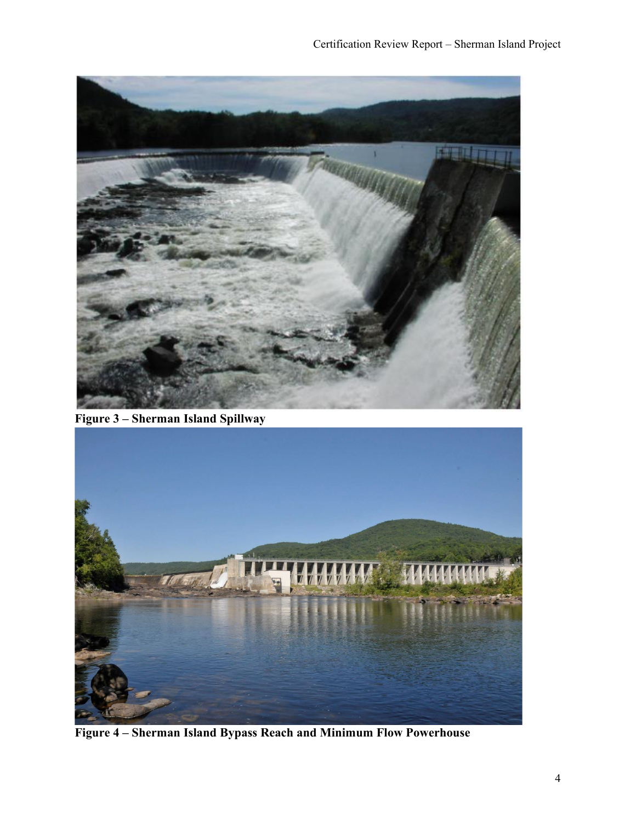

**Figure 3 – Sherman Island Spillway**



**Figure 4 – Sherman Island Bypass Reach and Minimum Flow Powerhouse**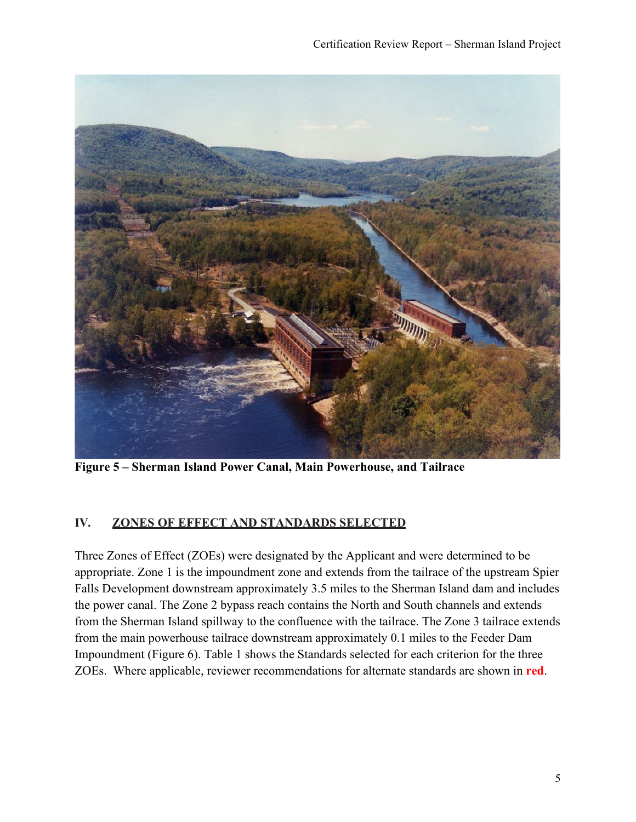

**Figure 5 – Sherman Island Power Canal, Main Powerhouse, and Tailrace**

# **IV. ZONES OF EFFECT AND STANDARDS SELECTED**

Three Zones of Effect (ZOEs) were designated by the Applicant and were determined to be appropriate. Zone 1 is the impoundment zone and extends from the tailrace of the upstream Spier Falls Development downstream approximately 3.5 miles to the Sherman Island dam and includes the power canal. The Zone 2 bypass reach contains the North and South channels and extends from the Sherman Island spillway to the confluence with the tailrace. The Zone 3 tailrace extends from the main powerhouse tailrace downstream approximately 0.1 miles to the Feeder Dam Impoundment (Figure 6). Table 1 shows the Standards selected for each criterion for the three ZOEs. Where applicable, reviewer recommendations for alternate standards are shown in **red**.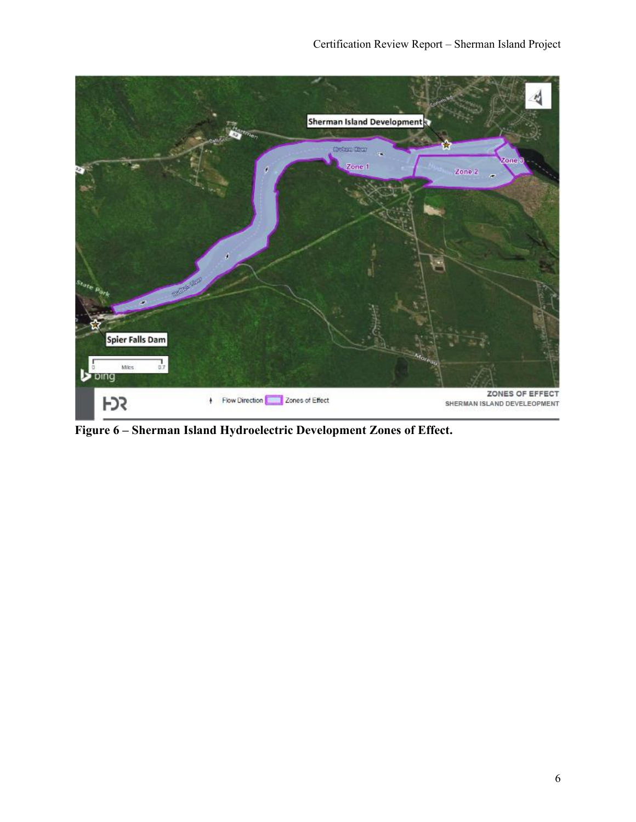

**Figure 6 – Sherman Island Hydroelectric Development Zones of Effect.**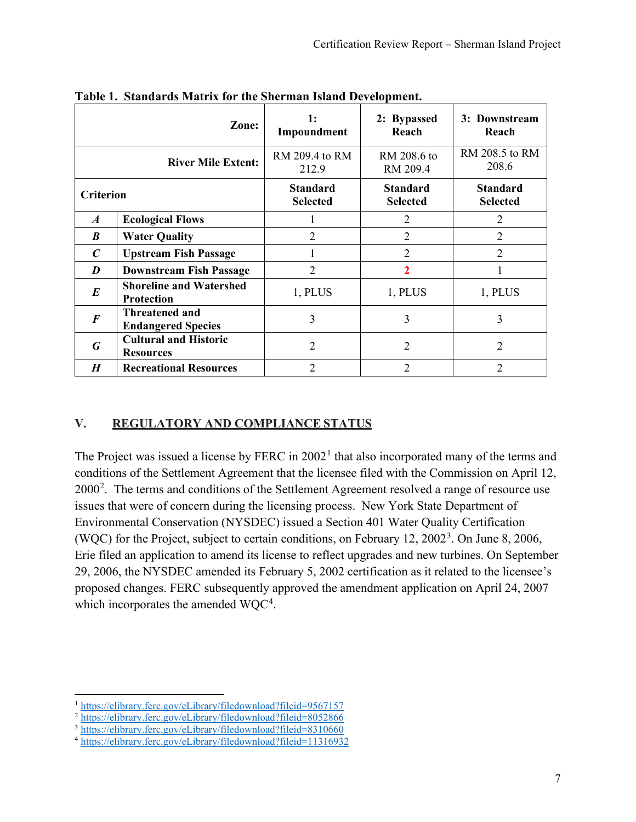|                           | Zone:                                              | 1:<br>Impoundment                  | 2: Bypassed<br>Reach               | 3: Downstream<br>Reach             |
|---------------------------|----------------------------------------------------|------------------------------------|------------------------------------|------------------------------------|
| <b>River Mile Extent:</b> |                                                    | RM 209.4 to RM<br>212.9            | RM 208.6 to<br>RM 209.4            | RM 208.5 to RM<br>208.6            |
| <b>Criterion</b>          |                                                    | <b>Standard</b><br><b>Selected</b> | <b>Standard</b><br><b>Selected</b> | <b>Standard</b><br><b>Selected</b> |
| $\boldsymbol{A}$          | <b>Ecological Flows</b>                            |                                    | $\overline{2}$                     | 2                                  |
| B                         | <b>Water Quality</b>                               | 2                                  | $\overline{2}$                     | $\overline{2}$                     |
| $\boldsymbol{C}$          | <b>Upstream Fish Passage</b>                       |                                    | $\overline{2}$                     | 2                                  |
| D                         | <b>Downstream Fish Passage</b>                     | $\overline{2}$                     | $\overline{2}$                     | L                                  |
| E                         | <b>Shoreline and Watershed</b><br>Protection       | 1, PLUS                            | 1, PLUS                            | 1, PLUS                            |
| $\boldsymbol{F}$          | <b>Threatened and</b><br><b>Endangered Species</b> | 3                                  | 3                                  | 3                                  |
| $\boldsymbol{G}$          | <b>Cultural and Historic</b><br><b>Resources</b>   | $\mathfrak{D}$                     | $\overline{2}$                     | $\overline{2}$                     |
| H                         | <b>Recreational Resources</b>                      | $\overline{2}$                     | $\overline{2}$                     | $\overline{2}$                     |

**Table 1. Standards Matrix for the Sherman Island Development.**

## **V. REGULATORY AND COMPLIANCE STATUS**

The Project was issued a license by FERC in  $2002<sup>1</sup>$  $2002<sup>1</sup>$  $2002<sup>1</sup>$  that also incorporated many of the terms and conditions of the Settlement Agreement that the licensee filed with the Commission on April 12,  $2000<sup>2</sup>$  $2000<sup>2</sup>$ . The terms and conditions of the Settlement Agreement resolved a range of resource use issues that were of concern during the licensing process. New York State Department of Environmental Conservation (NYSDEC) issued a Section 401 Water Quality Certification (WQC) for the Project, subject to certain conditions, on February 12, 2002<sup>[3](#page-6-2)</sup>. On June 8, 2006, Erie filed an application to amend its license to reflect upgrades and new turbines. On September 29, 2006, the NYSDEC amended its February 5, 2002 certification as it related to the licensee's proposed changes. FERC subsequently approved the amendment application on April 24, 2007 which incorporates the amended  $WQC<sup>4</sup>$  $WQC<sup>4</sup>$  $WQC<sup>4</sup>$ .

<span id="page-6-0"></span><sup>1</sup> <https://elibrary.ferc.gov/eLibrary/filedownload?fileid=9567157>

<span id="page-6-1"></span><sup>2</sup> <https://elibrary.ferc.gov/eLibrary/filedownload?fileid=8052866>

<span id="page-6-2"></span><sup>3</sup> <https://elibrary.ferc.gov/eLibrary/filedownload?fileid=8310660>

<span id="page-6-3"></span><sup>4</sup> <https://elibrary.ferc.gov/eLibrary/filedownload?fileid=11316932>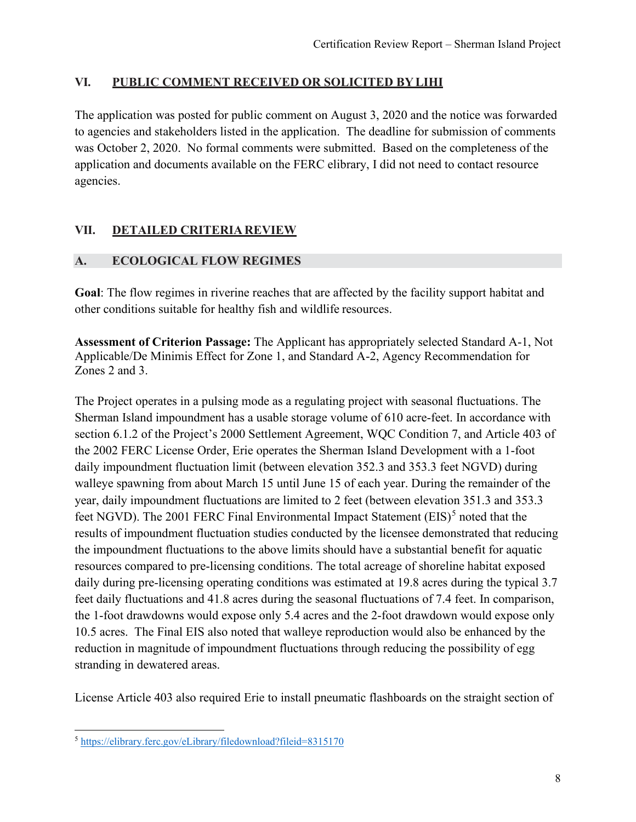#### **VI. PUBLIC COMMENT RECEIVED OR SOLICITED BYLIHI**

The application was posted for public comment on August 3, 2020 and the notice was forwarded to agencies and stakeholders listed in the application. The deadline for submission of comments was October 2, 2020. No formal comments were submitted. Based on the completeness of the application and documents available on the FERC elibrary, I did not need to contact resource agencies.

#### **VII. DETAILED CRITERIA REVIEW**

#### **A. ECOLOGICAL FLOW REGIMES**

**Goal**: The flow regimes in riverine reaches that are affected by the facility support habitat and other conditions suitable for healthy fish and wildlife resources.

**Assessment of Criterion Passage:** The Applicant has appropriately selected Standard A-1, Not Applicable/De Minimis Effect for Zone 1, and Standard A-2, Agency Recommendation for Zones 2 and 3.

The Project operates in a pulsing mode as a regulating project with seasonal fluctuations. The Sherman Island impoundment has a usable storage volume of 610 acre-feet. In accordance with section 6.1.2 of the Project's 2000 Settlement Agreement, WQC Condition 7, and Article 403 of the 2002 FERC License Order, Erie operates the Sherman Island Development with a 1-foot daily impoundment fluctuation limit (between elevation 352.3 and 353.3 feet NGVD) during walleye spawning from about March 15 until June 15 of each year. During the remainder of the year, daily impoundment fluctuations are limited to 2 feet (between elevation 351.3 and 353.3 feet NGVD). The 2001 FERC Final Environmental Impact Statement (EIS)<sup>[5](#page-7-0)</sup> noted that the results of impoundment fluctuation studies conducted by the licensee demonstrated that reducing the impoundment fluctuations to the above limits should have a substantial benefit for aquatic resources compared to pre-licensing conditions. The total acreage of shoreline habitat exposed daily during pre-licensing operating conditions was estimated at 19.8 acres during the typical 3.7 feet daily fluctuations and 41.8 acres during the seasonal fluctuations of 7.4 feet. In comparison, the 1-foot drawdowns would expose only 5.4 acres and the 2-foot drawdown would expose only 10.5 acres. The Final EIS also noted that walleye reproduction would also be enhanced by the reduction in magnitude of impoundment fluctuations through reducing the possibility of egg stranding in dewatered areas.

License Article 403 also required Erie to install pneumatic flashboards on the straight section of

<span id="page-7-0"></span><sup>5</sup> <https://elibrary.ferc.gov/eLibrary/filedownload?fileid=8315170>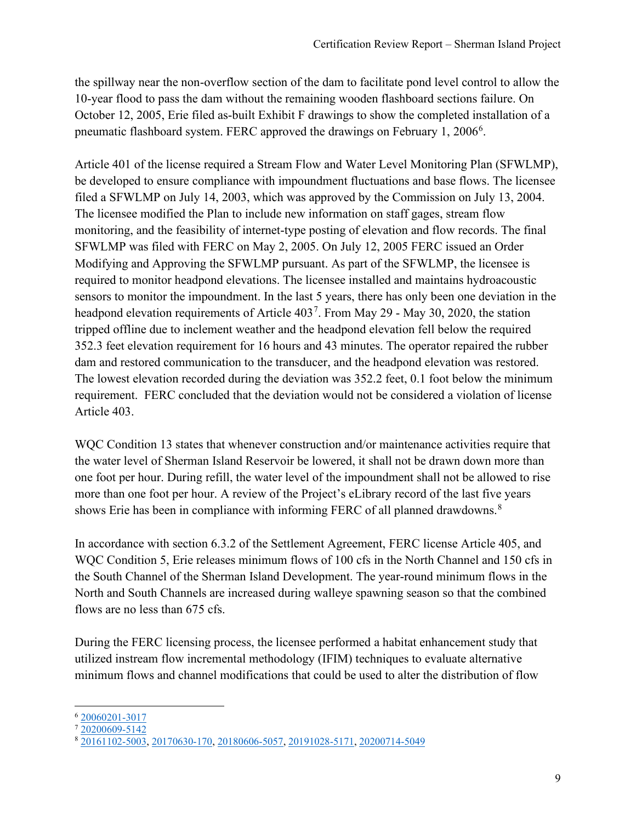the spillway near the non-overflow section of the dam to facilitate pond level control to allow the 10-year flood to pass the dam without the remaining wooden flashboard sections failure. On October 12, 2005, Erie filed as-built Exhibit F drawings to show the completed installation of a pneumatic flashboard system. FERC approved the drawings on February 1, 200[6](#page-8-0)<sup>6</sup>.

Article 401 of the license required a Stream Flow and Water Level Monitoring Plan (SFWLMP), be developed to ensure compliance with impoundment fluctuations and base flows. The licensee filed a SFWLMP on July 14, 2003, which was approved by the Commission on July 13, 2004. The licensee modified the Plan to include new information on staff gages, stream flow monitoring, and the feasibility of internet-type posting of elevation and flow records. The final SFWLMP was filed with FERC on May 2, 2005. On July 12, 2005 FERC issued an Order Modifying and Approving the SFWLMP pursuant. As part of the SFWLMP, the licensee is required to monitor headpond elevations. The licensee installed and maintains hydroacoustic sensors to monitor the impoundment. In the last 5 years, there has only been one deviation in the headpond elevation requirements of Article 403<sup>[7](#page-8-1)</sup>. From May 29 - May 30, 2020, the station tripped offline due to inclement weather and the headpond elevation fell below the required 352.3 feet elevation requirement for 16 hours and 43 minutes. The operator repaired the rubber dam and restored communication to the transducer, and the headpond elevation was restored. The lowest elevation recorded during the deviation was 352.2 feet, 0.1 foot below the minimum requirement. FERC concluded that the deviation would not be considered a violation of license Article 403.

WQC Condition 13 states that whenever construction and/or maintenance activities require that the water level of Sherman Island Reservoir be lowered, it shall not be drawn down more than one foot per hour. During refill, the water level of the impoundment shall not be allowed to rise more than one foot per hour. A review of the Project's eLibrary record of the last five years shows Erie has been in compliance with informing FERC of all planned drawdowns.<sup>[8](#page-8-2)</sup>

In accordance with section 6.3.2 of the Settlement Agreement, FERC license Article 405, and WQC Condition 5, Erie releases minimum flows of 100 cfs in the North Channel and 150 cfs in the South Channel of the Sherman Island Development. The year-round minimum flows in the North and South Channels are increased during walleye spawning season so that the combined flows are no less than 675 cfs.

During the FERC licensing process, the licensee performed a habitat enhancement study that utilized instream flow incremental methodology (IFIM) techniques to evaluate alternative minimum flows and channel modifications that could be used to alter the distribution of flow

<span id="page-8-0"></span><sup>6</sup> [20060201-3017](https://elibrary.ferc.gov/eLibrary/idmws/common/opennat.asp?fileID=10941856)

<span id="page-8-1"></span><sup>7</sup> [20200609-5142](https://elibrary.ferc.gov/eLibrary/filedownload?fileid=15554643)

<span id="page-8-2"></span><sup>8</sup> [20161102-5003,](https://elibrary.ferc.gov/eLibrary/filedownload?fileid=14390129) [20170630-170,](https://elibrary.ferc.gov/eLibrary/filedownload?fileid=14626571) [20180606-5057,](https://elibrary.ferc.gov/eLibrary/filedownload?fileid=14939537) [20191028-5171,](https://elibrary.ferc.gov/eLibrary/filedownload?fileid=15392421) [20200714-5049](https://elibrary.ferc.gov/eLibrary/filedownload?fileid=15583033)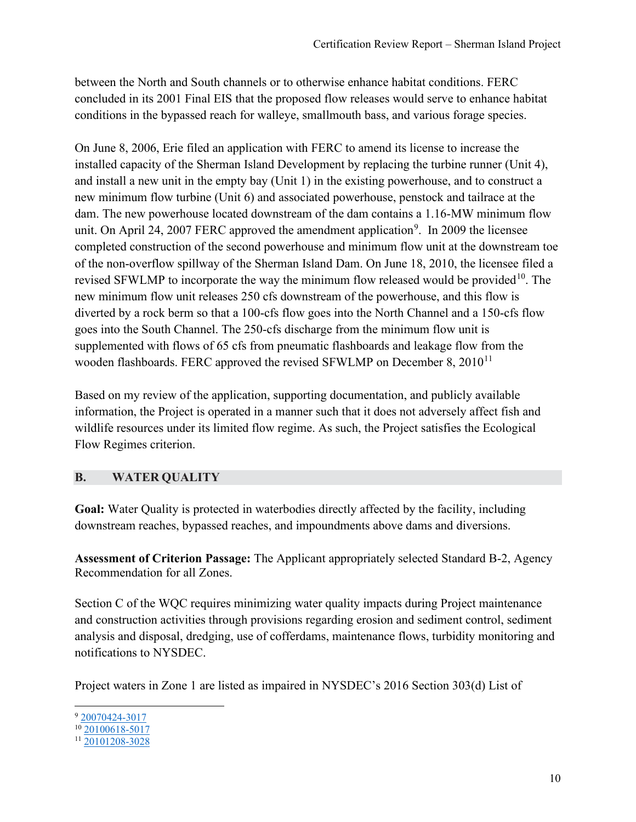between the North and South channels or to otherwise enhance habitat conditions. FERC concluded in its 2001 Final EIS that the proposed flow releases would serve to enhance habitat conditions in the bypassed reach for walleye, smallmouth bass, and various forage species.

On June 8, 2006, Erie filed an application with FERC to amend its license to increase the installed capacity of the Sherman Island Development by replacing the turbine runner (Unit 4), and install a new unit in the empty bay (Unit 1) in the existing powerhouse, and to construct a new minimum flow turbine (Unit 6) and associated powerhouse, penstock and tailrace at the dam. The new powerhouse located downstream of the dam contains a 1.16-MW minimum flow unit. On April 24, 2007 FERC approved the amendment application<sup>[9](#page-9-0)</sup>. In 2009 the licensee completed construction of the second powerhouse and minimum flow unit at the downstream toe of the non-overflow spillway of the Sherman Island Dam. On June 18, 2010, the licensee filed a revised SFWLMP to incorporate the way the minimum flow released would be provided  $10$ . The new minimum flow unit releases 250 cfs downstream of the powerhouse, and this flow is diverted by a rock berm so that a 100-cfs flow goes into the North Channel and a 150-cfs flow goes into the South Channel. The 250-cfs discharge from the minimum flow unit is supplemented with flows of 65 cfs from pneumatic flashboards and leakage flow from the wooden flashboards. FERC approved the revised SFWLMP on December 8,  $2010^{11}$  $2010^{11}$  $2010^{11}$ 

Based on my review of the application, supporting documentation, and publicly available information, the Project is operated in a manner such that it does not adversely affect fish and wildlife resources under its limited flow regime. As such, the Project satisfies the Ecological Flow Regimes criterion.

#### **B. WATER QUALITY**

**Goal:** Water Quality is protected in waterbodies directly affected by the facility, including downstream reaches, bypassed reaches, and impoundments above dams and diversions.

**Assessment of Criterion Passage:** The Applicant appropriately selected Standard B-2, Agency Recommendation for all Zones.

Section C of the WQC requires minimizing water quality impacts during Project maintenance and construction activities through provisions regarding erosion and sediment control, sediment analysis and disposal, dredging, use of cofferdams, maintenance flows, turbidity monitoring and notifications to NYSDEC.

Project waters in Zone 1 are listed as impaired in NYSDEC's 2016 Section 303(d) List of

<span id="page-9-0"></span><sup>9</sup> [20070424-3017](https://elibrary.ferc.gov/eLibrary/filedownload?fileid=11316932)

<span id="page-9-1"></span> $10\overline{20100618-5017}$  $10\overline{20100618-5017}$  $10\overline{20100618-5017}$ 

<span id="page-9-2"></span><sup>11</sup> [20101208-3028](https://elibrary.ferc.gov/eLibrary/filedownload?fileid=12505989)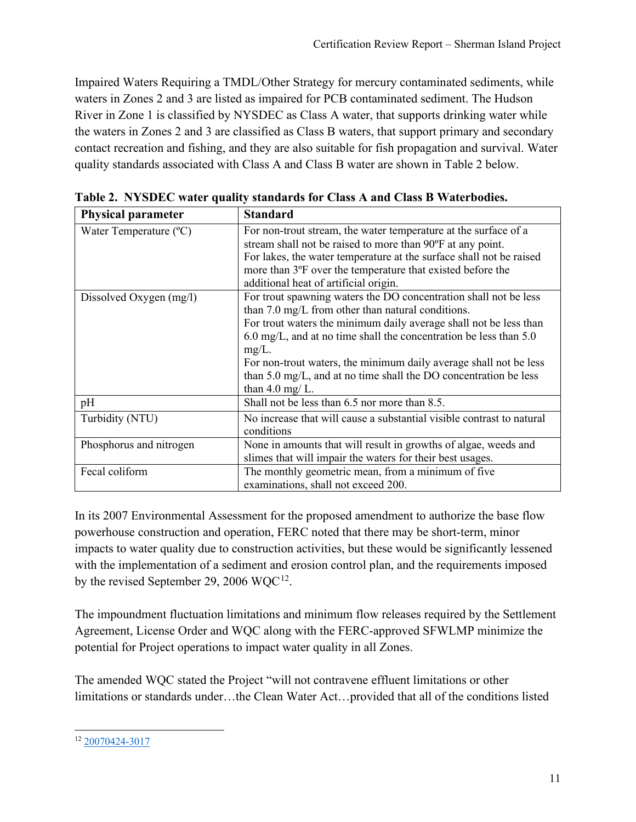Impaired Waters Requiring a TMDL/Other Strategy for mercury contaminated sediments, while waters in Zones 2 and 3 are listed as impaired for PCB contaminated sediment. The Hudson River in Zone 1 is classified by NYSDEC as Class A water, that supports drinking water while the waters in Zones 2 and 3 are classified as Class B waters, that support primary and secondary contact recreation and fishing, and they are also suitable for fish propagation and survival. Water quality standards associated with Class A and Class B water are shown in Table 2 below.

| <b>Physical parameter</b> | <b>Standard</b>                                                       |  |  |
|---------------------------|-----------------------------------------------------------------------|--|--|
| Water Temperature (°C)    | For non-trout stream, the water temperature at the surface of a       |  |  |
|                           | stream shall not be raised to more than 90°F at any point.            |  |  |
|                           | For lakes, the water temperature at the surface shall not be raised   |  |  |
|                           | more than 3°F over the temperature that existed before the            |  |  |
|                           | additional heat of artificial origin.                                 |  |  |
| Dissolved Oxygen (mg/l)   | For trout spawning waters the DO concentration shall not be less      |  |  |
|                           | than $7.0 \text{ mg/L}$ from other than natural conditions.           |  |  |
|                           | For trout waters the minimum daily average shall not be less than     |  |  |
|                           | 6.0 mg/L, and at no time shall the concentration be less than 5.0     |  |  |
|                           | $mg/L$ .                                                              |  |  |
|                           | For non-trout waters, the minimum daily average shall not be less     |  |  |
|                           | than 5.0 mg/L, and at no time shall the DO concentration be less      |  |  |
|                           | than 4.0 mg/ $L$ .                                                    |  |  |
| pH                        | Shall not be less than 6.5 nor more than 8.5.                         |  |  |
| Turbidity (NTU)           | No increase that will cause a substantial visible contrast to natural |  |  |
|                           | conditions                                                            |  |  |
| Phosphorus and nitrogen   | None in amounts that will result in growths of algae, weeds and       |  |  |
|                           | slimes that will impair the waters for their best usages.             |  |  |
| Fecal coliform            | The monthly geometric mean, from a minimum of five                    |  |  |
|                           | examinations, shall not exceed 200.                                   |  |  |

**Table 2. NYSDEC water quality standards for Class A and Class B Waterbodies.** 

In its 2007 Environmental Assessment for the proposed amendment to authorize the base flow powerhouse construction and operation, FERC noted that there may be short-term, minor impacts to water quality due to construction activities, but these would be significantly lessened with the implementation of a sediment and erosion control plan, and the requirements imposed by the revised September 29, 2006 WQC<sup>[12](#page-10-0)</sup>.

The impoundment fluctuation limitations and minimum flow releases required by the Settlement Agreement, License Order and WQC along with the FERC-approved SFWLMP minimize the potential for Project operations to impact water quality in all Zones.

The amended WQC stated the Project "will not contravene effluent limitations or other limitations or standards under…the Clean Water Act…provided that all of the conditions listed

<span id="page-10-0"></span><sup>12</sup> [20070424-3017](https://elibrary.ferc.gov/eLibrary/filedownload?fileid=11316932)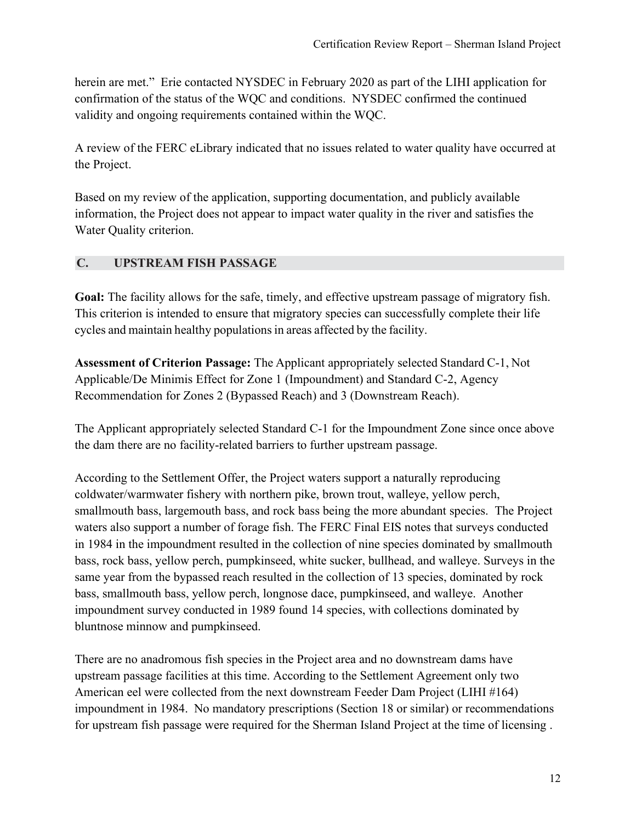herein are met." Erie contacted NYSDEC in February 2020 as part of the LIHI application for confirmation of the status of the WQC and conditions. NYSDEC confirmed the continued validity and ongoing requirements contained within the WQC.

A review of the FERC eLibrary indicated that no issues related to water quality have occurred at the Project.

Based on my review of the application, supporting documentation, and publicly available information, the Project does not appear to impact water quality in the river and satisfies the Water Quality criterion.

#### **C. UPSTREAM FISH PASSAGE**

**Goal:** The facility allows for the safe, timely, and effective upstream passage of migratory fish. This criterion is intended to ensure that migratory species can successfully complete their life cycles and maintain healthy populations in areas affected by the facility.

**Assessment of Criterion Passage:** The Applicant appropriately selected Standard C-1, Not Applicable/De Minimis Effect for Zone 1 (Impoundment) and Standard C-2, Agency Recommendation for Zones 2 (Bypassed Reach) and 3 (Downstream Reach).

The Applicant appropriately selected Standard C-1 for the Impoundment Zone since once above the dam there are no facility-related barriers to further upstream passage.

According to the Settlement Offer, the Project waters support a naturally reproducing coldwater/warmwater fishery with northern pike, brown trout, walleye, yellow perch, smallmouth bass, largemouth bass, and rock bass being the more abundant species. The Project waters also support a number of forage fish. The FERC Final EIS notes that surveys conducted in 1984 in the impoundment resulted in the collection of nine species dominated by smallmouth bass, rock bass, yellow perch, pumpkinseed, white sucker, bullhead, and walleye. Surveys in the same year from the bypassed reach resulted in the collection of 13 species, dominated by rock bass, smallmouth bass, yellow perch, longnose dace, pumpkinseed, and walleye. Another impoundment survey conducted in 1989 found 14 species, with collections dominated by bluntnose minnow and pumpkinseed.

There are no anadromous fish species in the Project area and no downstream dams have upstream passage facilities at this time. According to the Settlement Agreement only two American eel were collected from the next downstream Feeder Dam Project (LIHI #164) impoundment in 1984. No mandatory prescriptions (Section 18 or similar) or recommendations for upstream fish passage were required for the Sherman Island Project at the time of licensing .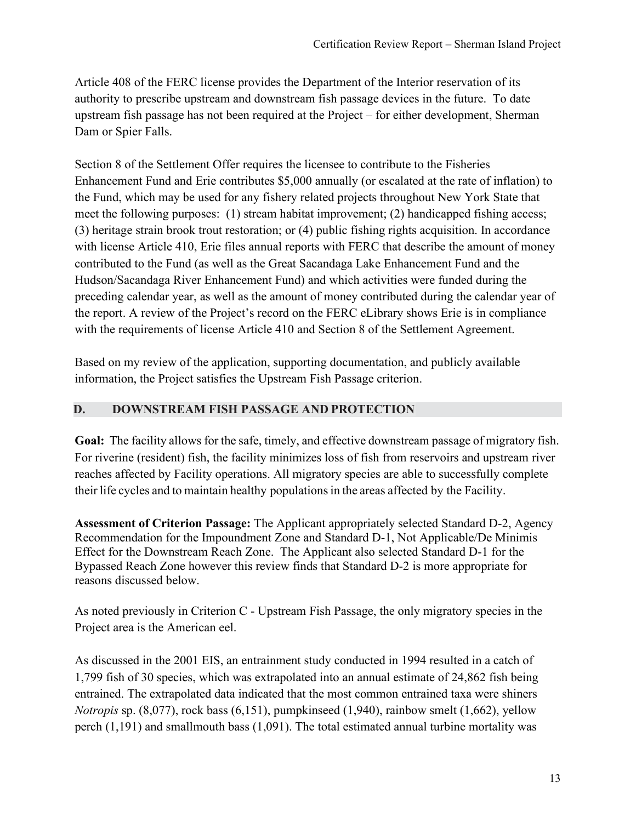Article 408 of the FERC license provides the Department of the Interior reservation of its authority to prescribe upstream and downstream fish passage devices in the future. To date upstream fish passage has not been required at the Project – for either development, Sherman Dam or Spier Falls.

Section 8 of the Settlement Offer requires the licensee to contribute to the Fisheries Enhancement Fund and Erie contributes \$5,000 annually (or escalated at the rate of inflation) to the Fund, which may be used for any fishery related projects throughout New York State that meet the following purposes: (1) stream habitat improvement; (2) handicapped fishing access; (3) heritage strain brook trout restoration; or (4) public fishing rights acquisition. In accordance with license Article 410, Erie files annual reports with FERC that describe the amount of money contributed to the Fund (as well as the Great Sacandaga Lake Enhancement Fund and the Hudson/Sacandaga River Enhancement Fund) and which activities were funded during the preceding calendar year, as well as the amount of money contributed during the calendar year of the report. A review of the Project's record on the FERC eLibrary shows Erie is in compliance with the requirements of license Article 410 and Section 8 of the Settlement Agreement.

Based on my review of the application, supporting documentation, and publicly available information, the Project satisfies the Upstream Fish Passage criterion.

#### **D. DOWNSTREAM FISH PASSAGE AND PROTECTION**

**Goal:** The facility allows for the safe, timely, and effective downstream passage of migratory fish. For riverine (resident) fish, the facility minimizes loss of fish from reservoirs and upstream river reaches affected by Facility operations. All migratory species are able to successfully complete their life cycles and to maintain healthy populations in the areas affected by the Facility.

**Assessment of Criterion Passage:** The Applicant appropriately selected Standard D-2, Agency Recommendation for the Impoundment Zone and Standard D-1, Not Applicable/De Minimis Effect for the Downstream Reach Zone. The Applicant also selected Standard D-1 for the Bypassed Reach Zone however this review finds that Standard D-2 is more appropriate for reasons discussed below.

As noted previously in Criterion C - Upstream Fish Passage, the only migratory species in the Project area is the American eel.

As discussed in the 2001 EIS, an entrainment study conducted in 1994 resulted in a catch of 1,799 fish of 30 species, which was extrapolated into an annual estimate of 24,862 fish being entrained. The extrapolated data indicated that the most common entrained taxa were shiners *Notropis* sp. (8,077), rock bass (6,151), pumpkinseed (1,940), rainbow smelt (1,662), yellow perch (1,191) and smallmouth bass (1,091). The total estimated annual turbine mortality was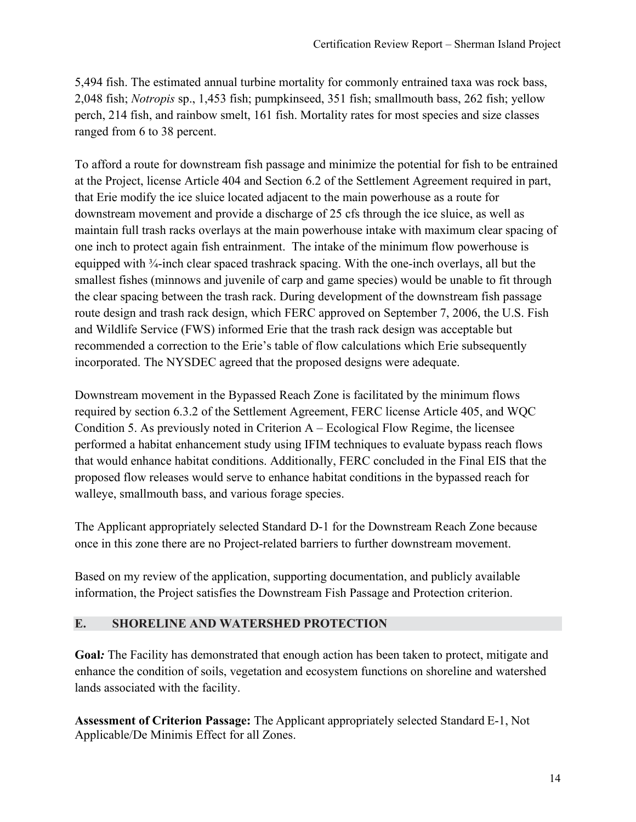5,494 fish. The estimated annual turbine mortality for commonly entrained taxa was rock bass, 2,048 fish; *Notropis* sp., 1,453 fish; pumpkinseed, 351 fish; smallmouth bass, 262 fish; yellow perch, 214 fish, and rainbow smelt, 161 fish. Mortality rates for most species and size classes ranged from 6 to 38 percent.

To afford a route for downstream fish passage and minimize the potential for fish to be entrained at the Project, license Article 404 and Section 6.2 of the Settlement Agreement required in part, that Erie modify the ice sluice located adjacent to the main powerhouse as a route for downstream movement and provide a discharge of 25 cfs through the ice sluice, as well as maintain full trash racks overlays at the main powerhouse intake with maximum clear spacing of one inch to protect again fish entrainment. The intake of the minimum flow powerhouse is equipped with ¾-inch clear spaced trashrack spacing. With the one-inch overlays, all but the smallest fishes (minnows and juvenile of carp and game species) would be unable to fit through the clear spacing between the trash rack. During development of the downstream fish passage route design and trash rack design, which FERC approved on September 7, 2006, the U.S. Fish and Wildlife Service (FWS) informed Erie that the trash rack design was acceptable but recommended a correction to the Erie's table of flow calculations which Erie subsequently incorporated. The NYSDEC agreed that the proposed designs were adequate.

Downstream movement in the Bypassed Reach Zone is facilitated by the minimum flows required by section 6.3.2 of the Settlement Agreement, FERC license Article 405, and WQC Condition 5. As previously noted in Criterion A – Ecological Flow Regime, the licensee performed a habitat enhancement study using IFIM techniques to evaluate bypass reach flows that would enhance habitat conditions. Additionally, FERC concluded in the Final EIS that the proposed flow releases would serve to enhance habitat conditions in the bypassed reach for walleye, smallmouth bass, and various forage species.

The Applicant appropriately selected Standard D-1 for the Downstream Reach Zone because once in this zone there are no Project-related barriers to further downstream movement.

Based on my review of the application, supporting documentation, and publicly available information, the Project satisfies the Downstream Fish Passage and Protection criterion.

#### **E. SHORELINE AND WATERSHED PROTECTION**

**Goal***:* The Facility has demonstrated that enough action has been taken to protect, mitigate and enhance the condition of soils, vegetation and ecosystem functions on shoreline and watershed lands associated with the facility.

**Assessment of Criterion Passage:** The Applicant appropriately selected Standard E-1, Not Applicable/De Minimis Effect for all Zones.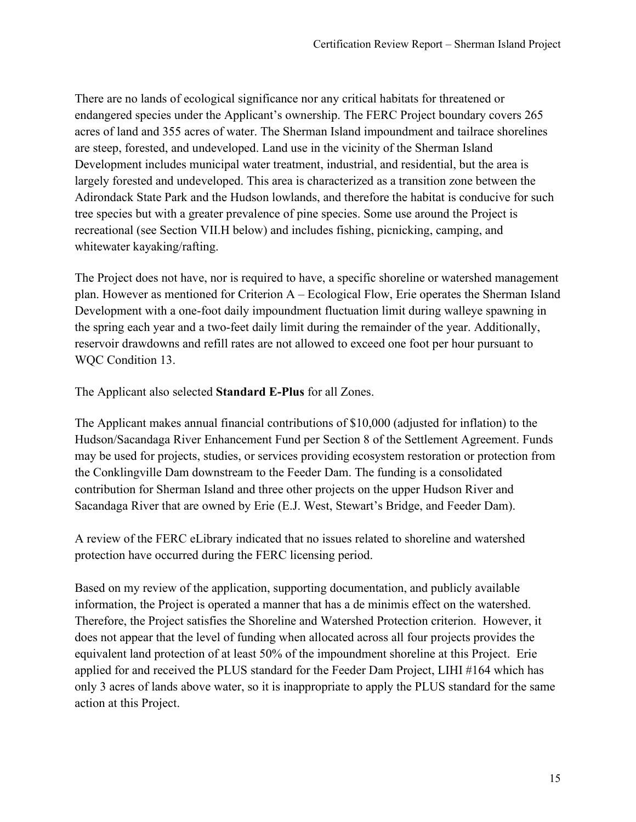There are no lands of ecological significance nor any critical habitats for threatened or endangered species under the Applicant's ownership. The FERC Project boundary covers 265 acres of land and 355 acres of water. The Sherman Island impoundment and tailrace shorelines are steep, forested, and undeveloped. Land use in the vicinity of the Sherman Island Development includes municipal water treatment, industrial, and residential, but the area is largely forested and undeveloped. This area is characterized as a transition zone between the Adirondack State Park and the Hudson lowlands, and therefore the habitat is conducive for such tree species but with a greater prevalence of pine species. Some use around the Project is recreational (see Section VII.H below) and includes fishing, picnicking, camping, and whitewater kayaking/rafting.

The Project does not have, nor is required to have, a specific shoreline or watershed management plan. However as mentioned for Criterion A – Ecological Flow, Erie operates the Sherman Island Development with a one-foot daily impoundment fluctuation limit during walleye spawning in the spring each year and a two-feet daily limit during the remainder of the year. Additionally, reservoir drawdowns and refill rates are not allowed to exceed one foot per hour pursuant to WQC Condition 13.

The Applicant also selected **Standard E-Plus** for all Zones.

The Applicant makes annual financial contributions of \$10,000 (adjusted for inflation) to the Hudson/Sacandaga River Enhancement Fund per Section 8 of the Settlement Agreement. Funds may be used for projects, studies, or services providing ecosystem restoration or protection from the Conklingville Dam downstream to the Feeder Dam. The funding is a consolidated contribution for Sherman Island and three other projects on the upper Hudson River and Sacandaga River that are owned by Erie (E.J. West, Stewart's Bridge, and Feeder Dam).

A review of the FERC eLibrary indicated that no issues related to shoreline and watershed protection have occurred during the FERC licensing period.

Based on my review of the application, supporting documentation, and publicly available information, the Project is operated a manner that has a de minimis effect on the watershed. Therefore, the Project satisfies the Shoreline and Watershed Protection criterion. However, it does not appear that the level of funding when allocated across all four projects provides the equivalent land protection of at least 50% of the impoundment shoreline at this Project. Erie applied for and received the PLUS standard for the Feeder Dam Project, LIHI #164 which has only 3 acres of lands above water, so it is inappropriate to apply the PLUS standard for the same action at this Project.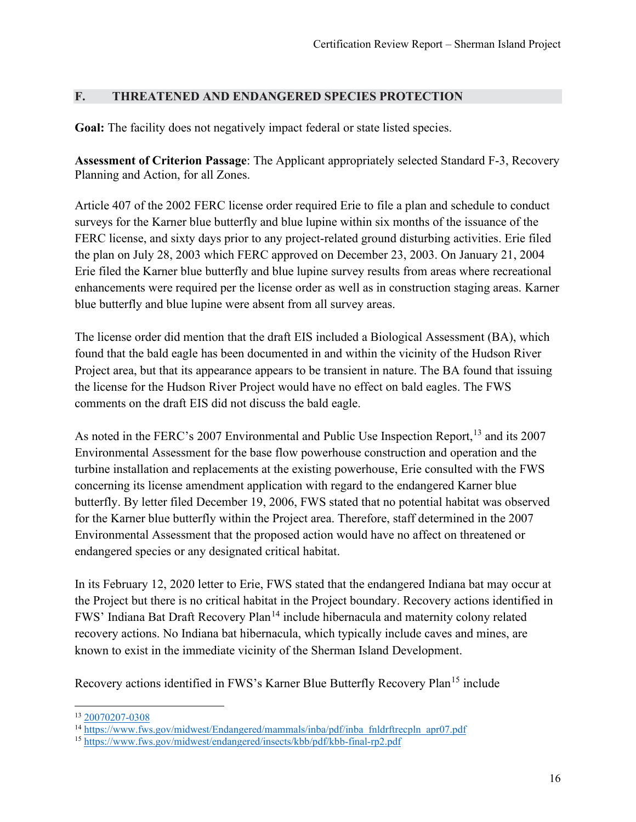#### **F. THREATENED AND ENDANGERED SPECIES PROTECTION**

Goal: The facility does not negatively impact federal or state listed species.

**Assessment of Criterion Passage**: The Applicant appropriately selected Standard F-3, Recovery Planning and Action, for all Zones.

Article 407 of the 2002 FERC license order required Erie to file a plan and schedule to conduct surveys for the Karner blue butterfly and blue lupine within six months of the issuance of the FERC license, and sixty days prior to any project-related ground disturbing activities. Erie filed the plan on July 28, 2003 which FERC approved on December 23, 2003. On January 21, 2004 Erie filed the Karner blue butterfly and blue lupine survey results from areas where recreational enhancements were required per the license order as well as in construction staging areas. Karner blue butterfly and blue lupine were absent from all survey areas.

The license order did mention that the draft EIS included a Biological Assessment (BA), which found that the bald eagle has been documented in and within the vicinity of the Hudson River Project area, but that its appearance appears to be transient in nature. The BA found that issuing the license for the Hudson River Project would have no effect on bald eagles. The FWS comments on the draft EIS did not discuss the bald eagle.

As noted in the FERC's 2007 Environmental and Public Use Inspection Report,<sup>[13](#page-15-0)</sup> and its 2007 Environmental Assessment for the base flow powerhouse construction and operation and the turbine installation and replacements at the existing powerhouse, Erie consulted with the FWS concerning its license amendment application with regard to the endangered Karner blue butterfly. By letter filed December 19, 2006, FWS stated that no potential habitat was observed for the Karner blue butterfly within the Project area. Therefore, staff determined in the 2007 Environmental Assessment that the proposed action would have no affect on threatened or endangered species or any designated critical habitat.

In its February 12, 2020 letter to Erie, FWS stated that the endangered Indiana bat may occur at the Project but there is no critical habitat in the Project boundary. Recovery actions identified in FWS' Indiana Bat Draft Recovery Plan<sup>[14](#page-15-1)</sup> include hibernacula and maternity colony related recovery actions. No Indiana bat hibernacula, which typically include caves and mines, are known to exist in the immediate vicinity of the Sherman Island Development.

Recovery actions identified in FWS's Karner Blue Butterfly Recovery Plan<sup>[15](#page-15-2)</sup> include

<span id="page-15-0"></span><sup>13</sup> [20070207-0308](https://elibrary.ferc.gov/eLibrary/filedownload?fileid=11247458)

<span id="page-15-1"></span><sup>&</sup>lt;sup>14</sup> [https://www.fws.gov/midwest/Endangered/mammals/inba/pdf/inba\\_fnldrftrecpln\\_apr07.pdf](https://www.fws.gov/midwest/Endangered/mammals/inba/pdf/inba_fnldrftrecpln_apr07.pdf)

<span id="page-15-2"></span><sup>15</sup> <https://www.fws.gov/midwest/endangered/insects/kbb/pdf/kbb-final-rp2.pdf>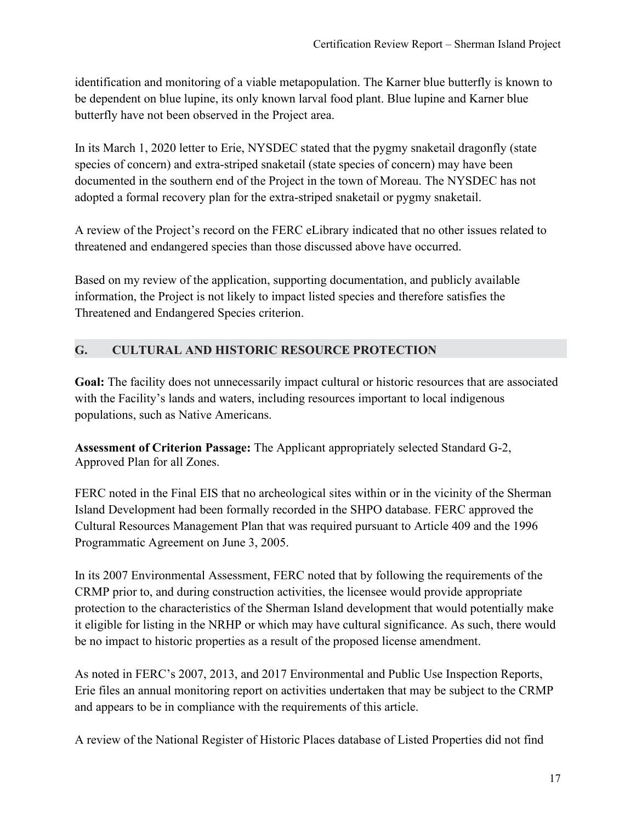identification and monitoring of a viable metapopulation. The Karner blue butterfly is known to be dependent on blue lupine, its only known larval food plant. Blue lupine and Karner blue butterfly have not been observed in the Project area.

In its March 1, 2020 letter to Erie, NYSDEC stated that the pygmy snaketail dragonfly (state species of concern) and extra-striped snaketail (state species of concern) may have been documented in the southern end of the Project in the town of Moreau. The NYSDEC has not adopted a formal recovery plan for the extra-striped snaketail or pygmy snaketail.

A review of the Project's record on the FERC eLibrary indicated that no other issues related to threatened and endangered species than those discussed above have occurred.

Based on my review of the application, supporting documentation, and publicly available information, the Project is not likely to impact listed species and therefore satisfies the Threatened and Endangered Species criterion.

## **G. CULTURAL AND HISTORIC RESOURCE PROTECTION**

**Goal:** The facility does not unnecessarily impact cultural or historic resources that are associated with the Facility's lands and waters, including resources important to local indigenous populations, such as Native Americans.

**Assessment of Criterion Passage:** The Applicant appropriately selected Standard G-2, Approved Plan for all Zones.

FERC noted in the Final EIS that no archeological sites within or in the vicinity of the Sherman Island Development had been formally recorded in the SHPO database. FERC approved the Cultural Resources Management Plan that was required pursuant to Article 409 and the 1996 Programmatic Agreement on June 3, 2005.

In its 2007 Environmental Assessment, FERC noted that by following the requirements of the CRMP prior to, and during construction activities, the licensee would provide appropriate protection to the characteristics of the Sherman Island development that would potentially make it eligible for listing in the NRHP or which may have cultural significance. As such, there would be no impact to historic properties as a result of the proposed license amendment.

As noted in FERC's 2007, 2013, and 2017 Environmental and Public Use Inspection Reports, Erie files an annual monitoring report on activities undertaken that may be subject to the CRMP and appears to be in compliance with the requirements of this article.

A review of the National Register of Historic Places database of Listed Properties did not find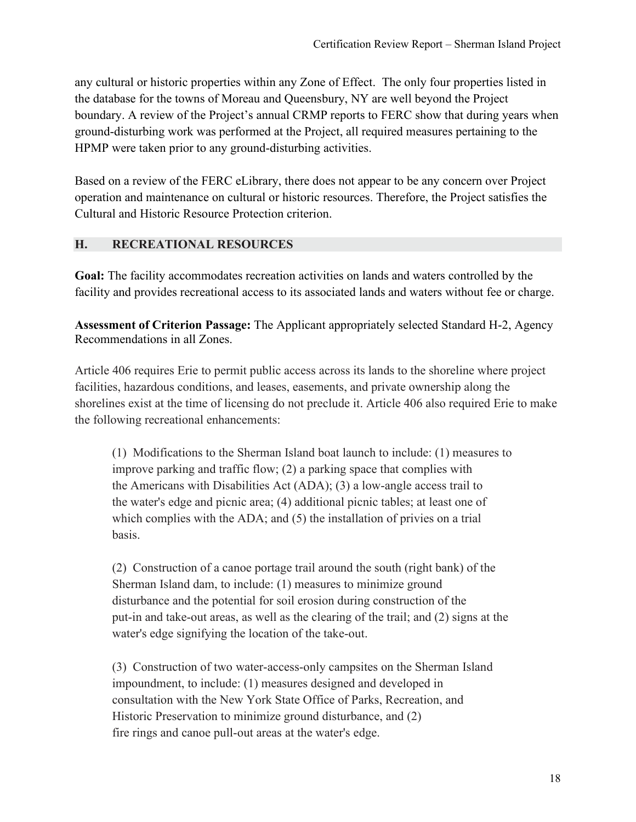any cultural or historic properties within any Zone of Effect. The only four properties listed in the database for the towns of Moreau and Queensbury, NY are well beyond the Project boundary. A review of the Project's annual CRMP reports to FERC show that during years when ground-disturbing work was performed at the Project, all required measures pertaining to the HPMP were taken prior to any ground-disturbing activities.

Based on a review of the FERC eLibrary, there does not appear to be any concern over Project operation and maintenance on cultural or historic resources. Therefore, the Project satisfies the Cultural and Historic Resource Protection criterion.

#### **H. RECREATIONAL RESOURCES**

**Goal:** The facility accommodates recreation activities on lands and waters controlled by the facility and provides recreational access to its associated lands and waters without fee or charge.

**Assessment of Criterion Passage:** The Applicant appropriately selected Standard H-2, Agency Recommendations in all Zones.

Article 406 requires Erie to permit public access across its lands to the shoreline where project facilities, hazardous conditions, and leases, easements, and private ownership along the shorelines exist at the time of licensing do not preclude it. Article 406 also required Erie to make the following recreational enhancements:

(1) Modifications to the Sherman Island boat launch to include: (1) measures to improve parking and traffic flow; (2) a parking space that complies with the Americans with Disabilities Act (ADA); (3) a low-angle access trail to the water's edge and picnic area; (4) additional picnic tables; at least one of which complies with the ADA; and (5) the installation of privies on a trial basis.

(2) Construction of a canoe portage trail around the south (right bank) of the Sherman Island dam, to include: (1) measures to minimize ground disturbance and the potential for soil erosion during construction of the put-in and take-out areas, as well as the clearing of the trail; and (2) signs at the water's edge signifying the location of the take-out.

(3) Construction of two water-access-only campsites on the Sherman Island impoundment, to include: (1) measures designed and developed in consultation with the New York State Office of Parks, Recreation, and Historic Preservation to minimize ground disturbance, and (2) fire rings and canoe pull-out areas at the water's edge.